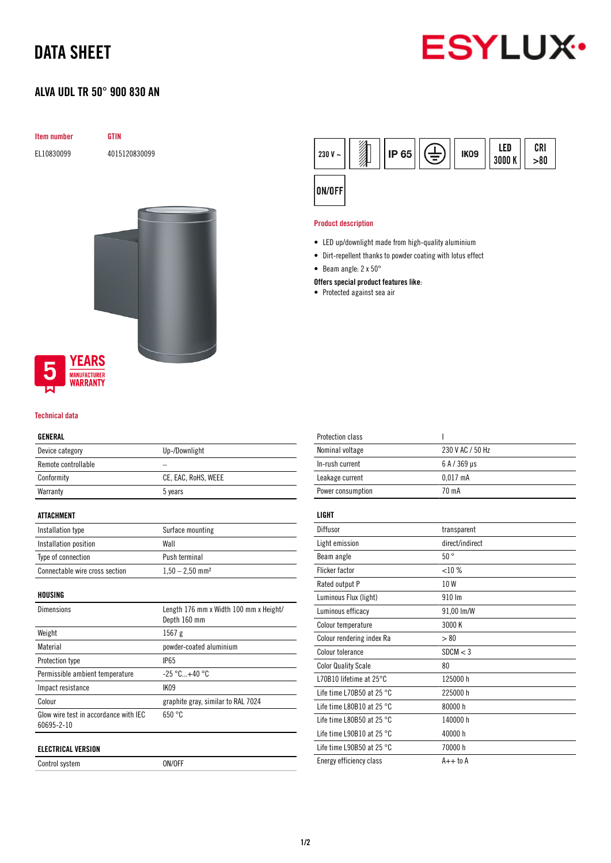## DATA SHEET

# **ESYLUX**

## ALVA UDL TR 50° 900 830 AN

| Item number                            | <b>GTIN</b>   |
|----------------------------------------|---------------|
| EL10830099                             | 4015120830099 |
|                                        |               |
|                                        |               |
|                                        |               |
|                                        |               |
|                                        |               |
|                                        |               |
|                                        |               |
|                                        |               |
|                                        |               |
|                                        |               |
|                                        |               |
|                                        |               |
| <b>YEARS</b><br>5                      |               |
| <b>MANUFACTURER</b><br><b>WARRANTY</b> |               |

#### Technical data

#### GENERAL

| Device category     | Up-/Downlight       |
|---------------------|---------------------|
| Remote controllable |                     |
| Conformity          | CE, EAC, RoHS, WEEE |
| Warranty            | 5 years             |
|                     |                     |

#### ATTACHMENT

| Installation type              | Surface mounting              |
|--------------------------------|-------------------------------|
| Installation position          | Wall                          |
| Type of connection             | Push terminal                 |
| Connectable wire cross section | $1,50 - 2,50$ mm <sup>2</sup> |

HOUSING

| <b>Dimensions</b>                                   | Length 176 mm x Width 100 mm x Height/<br>Depth 160 mm |
|-----------------------------------------------------|--------------------------------------------------------|
| Weight                                              | 1567g                                                  |
| Material                                            | powder-coated aluminium                                |
| Protection type                                     | <b>IP65</b>                                            |
| Permissible ambient temperature                     | $-25\degree$ C+40 $\degree$ C                          |
| Impact resistance                                   | <b>IK09</b>                                            |
| Colour                                              | graphite gray, similar to RAL 7024                     |
| Glow wire test in accordance with IEC<br>60695-2-10 | 650 °C                                                 |
| ELECTRICAL VERSION                                  |                                                        |

Control system ON/OFF



#### Product description

- LED up/downlight made from high-quality aluminium
- Dirt-repellent thanks to powder coating with lotus effect
- Beam angle: 2 x 50°

#### Offers special product features like:

• Protected against sea air

| <b>Protection class</b>             | ı                |
|-------------------------------------|------------------|
| Nominal voltage                     | 230 V AC / 50 Hz |
| In-rush current                     | 6 A / 369 µs     |
| Leakage current                     | $0.017$ mA       |
| Power consumption                   | 70 mA            |
| LIGHT                               |                  |
| Diffusor                            | transparent      |
| Light emission                      | direct/indirect  |
| Beam angle                          | 50°              |
| <b>Flicker factor</b>               | <10%             |
| Rated output P                      | 10W              |
| Luminous Flux (light)               | 910 Im           |
| Luminous efficacy                   | 91,00 lm/W       |
| Colour temperature                  | 3000 K           |
| Colour rendering index Ra           | > 80             |
| Colour tolerance                    | SDCM < 3         |
| <b>Color Quality Scale</b>          | 80               |
| L70B10 lifetime at 25°C             | 125000 h         |
| Life time L70B50 at 25 $^{\circ}$ C | 225000h          |
| Life time L80B10 at 25 $^{\circ}$ C | 80000 h          |
| Life time L80B50 at 25 $^{\circ}$ C | 140000 h         |
| Life time L90B10 at 25 $^{\circ}$ C | 40000 h          |
| Life time L90B50 at 25 $^{\circ}$ C | 70000 h          |
| Energy efficiency class             | $A++$ to $A$     |
|                                     |                  |